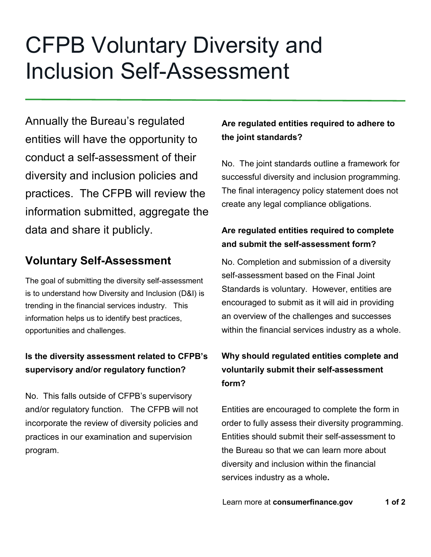# CFPB Voluntary Diversity and Inclusion Self-Assessment

Annually the Bureau's regulated entities will have the opportunity to conduct a self-assessment of their diversity and inclusion policies and practices. The CFPB will review the information submitted, aggregate the data and share it publicly.

## **Voluntary Self-Assessment**

The goal of submitting the diversity self-assessment is to understand how Diversity and Inclusion (D&I) is trending in the financial services industry. This information helps us to identify best practices, opportunities and challenges.

## **Is the diversity assessment related to CFPB's supervisory and/or regulatory function?**

No. This falls outside of CFPB's supervisory and/or regulatory function. The CFPB will not incorporate the review of diversity policies and practices in our examination and supervision program.

## **Are regulated entities required to adhere to the joint standards?**

No. The joint standards outline a framework for successful diversity and inclusion programming. The final interagency policy statement does not create any legal compliance obligations.

### **Are regulated entities required to complete and submit the self-assessment form?**

No. Completion and submission of a diversity self-assessment based on the Final Joint Standards is voluntary. However, entities are encouraged to submit as it will aid in providing an overview of the challenges and successes within the financial services industry as a whole.

## **Why should regulated entities complete and voluntarily submit their self-assessment form?**

Entities are encouraged to complete the form in order to fully assess their diversity programming. Entities should submit their self-assessment to the Bureau so that we can learn more about diversity and inclusion within the financial services industry as a whole**.** 

Learn more at **consumerfinance.gov** 1 of 2